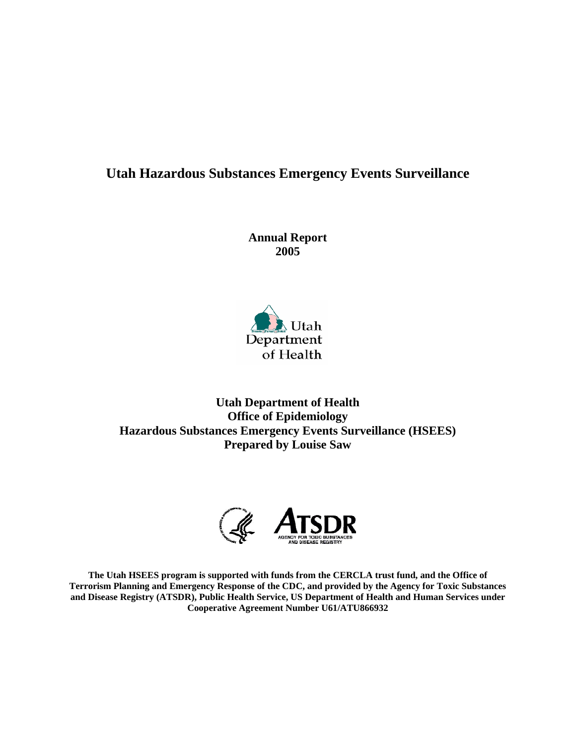## **Utah Hazardous Substances Emergency Events Surveillance**

**Annual Report 2005** 



**Utah Department of Health Office of Epidemiology Hazardous Substances Emergency Events Surveillance (HSEES) Prepared by Louise Saw** 



**The Utah HSEES program is supported with funds from the CERCLA trust fund, and the Office of Terrorism Planning and Emergency Response of the CDC, and provided by the Agency for Toxic Substances and Disease Registry (ATSDR), Public Health Service, US Department of Health and Human Services under Cooperative Agreement Number U61/ATU866932**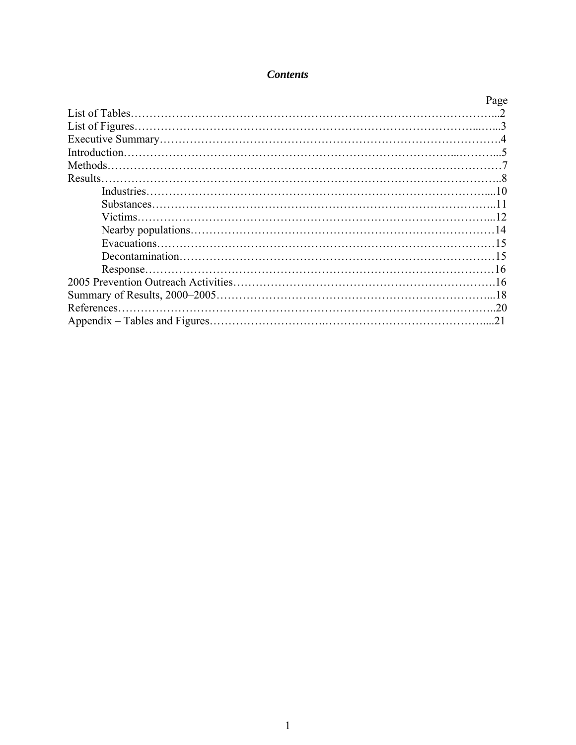## *Contents*

| Page |
|------|
|      |
|      |
|      |
|      |
|      |
|      |
|      |
|      |
|      |
|      |
|      |
|      |
|      |
|      |
|      |
|      |
|      |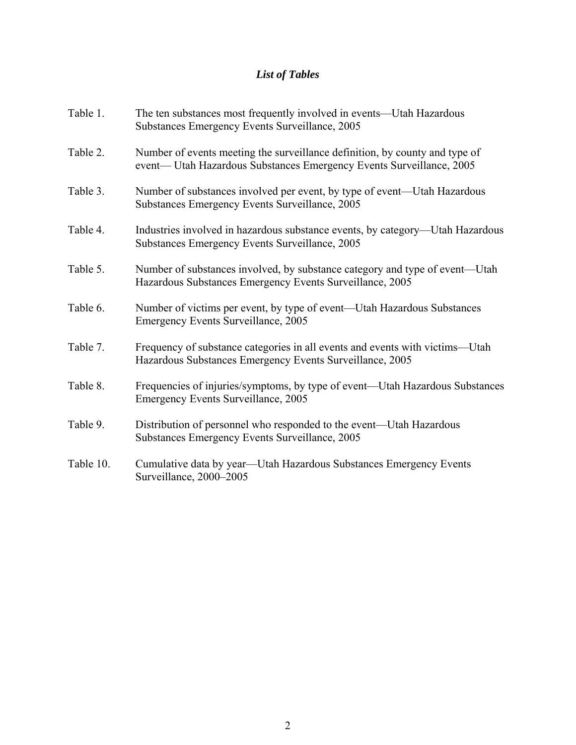# *List of Tables*

| Table 1.  | The ten substances most frequently involved in events—Utah Hazardous<br>Substances Emergency Events Surveillance, 2005                              |
|-----------|-----------------------------------------------------------------------------------------------------------------------------------------------------|
| Table 2.  | Number of events meeting the surveillance definition, by county and type of<br>event— Utah Hazardous Substances Emergency Events Surveillance, 2005 |
| Table 3.  | Number of substances involved per event, by type of event—Utah Hazardous<br>Substances Emergency Events Surveillance, 2005                          |
| Table 4.  | Industries involved in hazardous substance events, by category—Utah Hazardous<br>Substances Emergency Events Surveillance, 2005                     |
| Table 5.  | Number of substances involved, by substance category and type of event—Utah<br>Hazardous Substances Emergency Events Surveillance, 2005             |
| Table 6.  | Number of victims per event, by type of event—Utah Hazardous Substances<br><b>Emergency Events Surveillance, 2005</b>                               |
| Table 7.  | Frequency of substance categories in all events and events with victims—Utah<br>Hazardous Substances Emergency Events Surveillance, 2005            |
| Table 8.  | Frequencies of injuries/symptoms, by type of event—Utah Hazardous Substances<br><b>Emergency Events Surveillance, 2005</b>                          |
| Table 9.  | Distribution of personnel who responded to the event—Utah Hazardous<br>Substances Emergency Events Surveillance, 2005                               |
| Table 10. | Cumulative data by year—Utah Hazardous Substances Emergency Events<br>Surveillance, 2000-2005                                                       |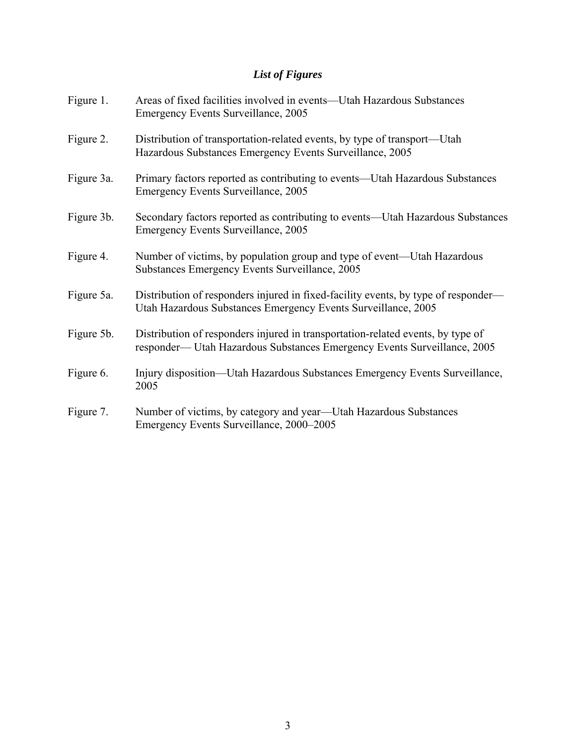# *List of Figures*

| Figure 1.  | Areas of fixed facilities involved in events—Utah Hazardous Substances<br><b>Emergency Events Surveillance, 2005</b>                                       |
|------------|------------------------------------------------------------------------------------------------------------------------------------------------------------|
| Figure 2.  | Distribution of transportation-related events, by type of transport—Utah<br>Hazardous Substances Emergency Events Surveillance, 2005                       |
| Figure 3a. | Primary factors reported as contributing to events—Utah Hazardous Substances<br><b>Emergency Events Surveillance, 2005</b>                                 |
| Figure 3b. | Secondary factors reported as contributing to events—Utah Hazardous Substances<br><b>Emergency Events Surveillance, 2005</b>                               |
| Figure 4.  | Number of victims, by population group and type of event—Utah Hazardous<br>Substances Emergency Events Surveillance, 2005                                  |
| Figure 5a. | Distribution of responders injured in fixed-facility events, by type of responder—<br>Utah Hazardous Substances Emergency Events Surveillance, 2005        |
| Figure 5b. | Distribution of responders injured in transportation-related events, by type of<br>responder-Utah Hazardous Substances Emergency Events Surveillance, 2005 |
| Figure 6.  | Injury disposition—Utah Hazardous Substances Emergency Events Surveillance,<br>2005                                                                        |
| Figure 7.  | Number of victims, by category and year—Utah Hazardous Substances<br>Emergency Events Surveillance, 2000–2005                                              |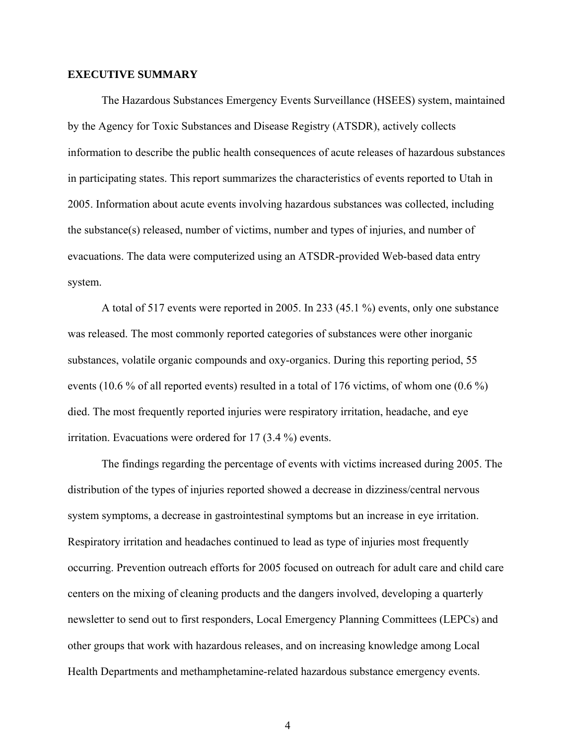#### **EXECUTIVE SUMMARY**

The Hazardous Substances Emergency Events Surveillance (HSEES) system, maintained by the Agency for Toxic Substances and Disease Registry (ATSDR), actively collects information to describe the public health consequences of acute releases of hazardous substances in participating states. This report summarizes the characteristics of events reported to Utah in 2005. Information about acute events involving hazardous substances was collected, including the substance(s) released, number of victims, number and types of injuries, and number of evacuations. The data were computerized using an ATSDR-provided Web-based data entry system.

 A total of 517 events were reported in 2005. In 233 (45.1 %) events, only one substance was released. The most commonly reported categories of substances were other inorganic substances, volatile organic compounds and oxy-organics. During this reporting period, 55 events (10.6 % of all reported events) resulted in a total of 176 victims, of whom one (0.6 %) died. The most frequently reported injuries were respiratory irritation, headache, and eye irritation. Evacuations were ordered for 17 (3.4 %) events.

 The findings regarding the percentage of events with victims increased during 2005. The distribution of the types of injuries reported showed a decrease in dizziness/central nervous system symptoms, a decrease in gastrointestinal symptoms but an increase in eye irritation. Respiratory irritation and headaches continued to lead as type of injuries most frequently occurring. Prevention outreach efforts for 2005 focused on outreach for adult care and child care centers on the mixing of cleaning products and the dangers involved, developing a quarterly newsletter to send out to first responders, Local Emergency Planning Committees (LEPCs) and other groups that work with hazardous releases, and on increasing knowledge among Local Health Departments and methamphetamine-related hazardous substance emergency events.

4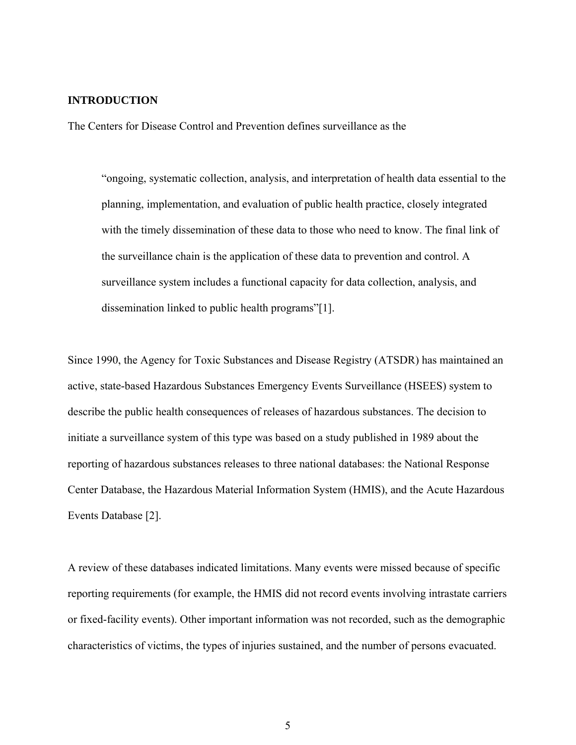#### **INTRODUCTION**

The Centers for Disease Control and Prevention defines surveillance as the

"ongoing, systematic collection, analysis, and interpretation of health data essential to the planning, implementation, and evaluation of public health practice, closely integrated with the timely dissemination of these data to those who need to know. The final link of the surveillance chain is the application of these data to prevention and control. A surveillance system includes a functional capacity for data collection, analysis, and dissemination linked to public health programs"[1].

Since 1990, the Agency for Toxic Substances and Disease Registry (ATSDR) has maintained an active, state-based Hazardous Substances Emergency Events Surveillance (HSEES) system to describe the public health consequences of releases of hazardous substances. The decision to initiate a surveillance system of this type was based on a study published in 1989 about the reporting of hazardous substances releases to three national databases: the National Response Center Database, the Hazardous Material Information System (HMIS), and the Acute Hazardous Events Database [2].

A review of these databases indicated limitations. Many events were missed because of specific reporting requirements (for example, the HMIS did not record events involving intrastate carriers or fixed-facility events). Other important information was not recorded, such as the demographic characteristics of victims, the types of injuries sustained, and the number of persons evacuated.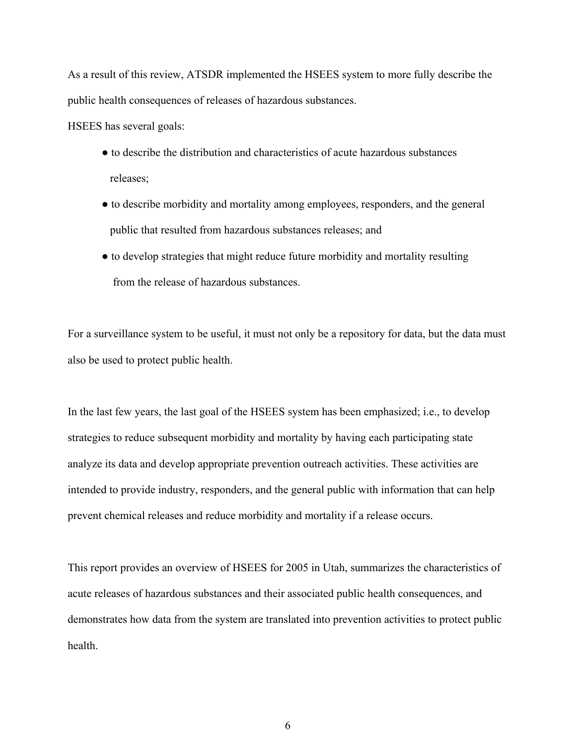As a result of this review, ATSDR implemented the HSEES system to more fully describe the public health consequences of releases of hazardous substances.

HSEES has several goals:

- to describe the distribution and characteristics of acute hazardous substances releases;
- to describe morbidity and mortality among employees, responders, and the general public that resulted from hazardous substances releases; and
- to develop strategies that might reduce future morbidity and mortality resulting from the release of hazardous substances.

For a surveillance system to be useful, it must not only be a repository for data, but the data must also be used to protect public health.

In the last few years, the last goal of the HSEES system has been emphasized; i.e., to develop strategies to reduce subsequent morbidity and mortality by having each participating state analyze its data and develop appropriate prevention outreach activities. These activities are intended to provide industry, responders, and the general public with information that can help prevent chemical releases and reduce morbidity and mortality if a release occurs.

This report provides an overview of HSEES for 2005 in Utah, summarizes the characteristics of acute releases of hazardous substances and their associated public health consequences, and demonstrates how data from the system are translated into prevention activities to protect public health.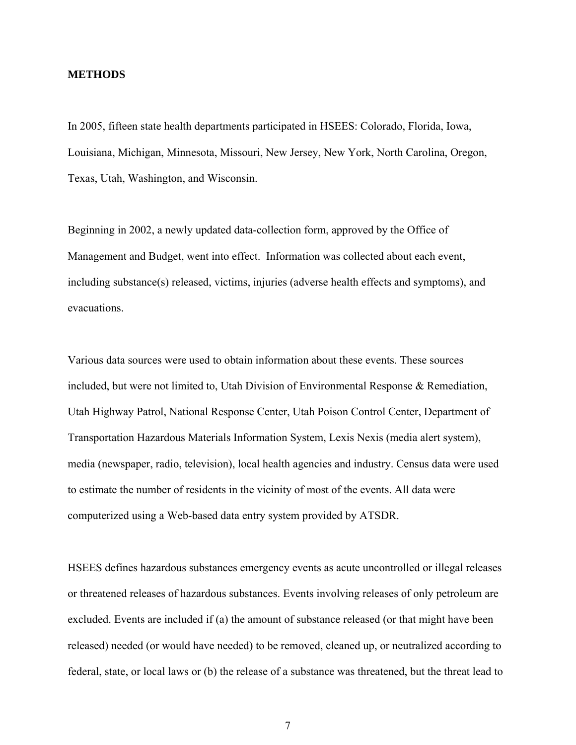#### **METHODS**

In 2005, fifteen state health departments participated in HSEES: Colorado, Florida, Iowa, Louisiana, Michigan, Minnesota, Missouri, New Jersey, New York, North Carolina, Oregon, Texas, Utah, Washington, and Wisconsin.

Beginning in 2002, a newly updated data-collection form, approved by the Office of Management and Budget, went into effect. Information was collected about each event, including substance(s) released, victims, injuries (adverse health effects and symptoms), and evacuations.

Various data sources were used to obtain information about these events. These sources included, but were not limited to, Utah Division of Environmental Response & Remediation, Utah Highway Patrol, National Response Center, Utah Poison Control Center, Department of Transportation Hazardous Materials Information System, Lexis Nexis (media alert system), media (newspaper, radio, television), local health agencies and industry. Census data were used to estimate the number of residents in the vicinity of most of the events. All data were computerized using a Web-based data entry system provided by ATSDR.

HSEES defines hazardous substances emergency events as acute uncontrolled or illegal releases or threatened releases of hazardous substances. Events involving releases of only petroleum are excluded. Events are included if (a) the amount of substance released (or that might have been released) needed (or would have needed) to be removed, cleaned up, or neutralized according to federal, state, or local laws or (b) the release of a substance was threatened, but the threat lead to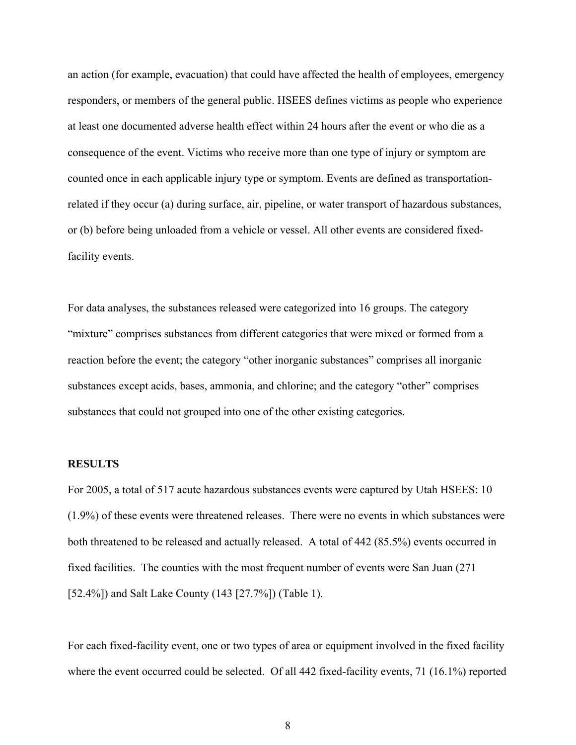an action (for example, evacuation) that could have affected the health of employees, emergency responders, or members of the general public. HSEES defines victims as people who experience at least one documented adverse health effect within 24 hours after the event or who die as a consequence of the event. Victims who receive more than one type of injury or symptom are counted once in each applicable injury type or symptom. Events are defined as transportationrelated if they occur (a) during surface, air, pipeline, or water transport of hazardous substances, or (b) before being unloaded from a vehicle or vessel. All other events are considered fixedfacility events.

For data analyses, the substances released were categorized into 16 groups. The category "mixture" comprises substances from different categories that were mixed or formed from a reaction before the event; the category "other inorganic substances" comprises all inorganic substances except acids, bases, ammonia, and chlorine; and the category "other" comprises substances that could not grouped into one of the other existing categories.

#### **RESULTS**

For 2005, a total of 517 acute hazardous substances events were captured by Utah HSEES: 10 (1.9%) of these events were threatened releases. There were no events in which substances were both threatened to be released and actually released. A total of 442 (85.5%) events occurred in fixed facilities. The counties with the most frequent number of events were San Juan (271 [52.4%]) and Salt Lake County (143 [27.7%]) (Table 1).

For each fixed-facility event, one or two types of area or equipment involved in the fixed facility where the event occurred could be selected. Of all 442 fixed-facility events, 71 (16.1%) reported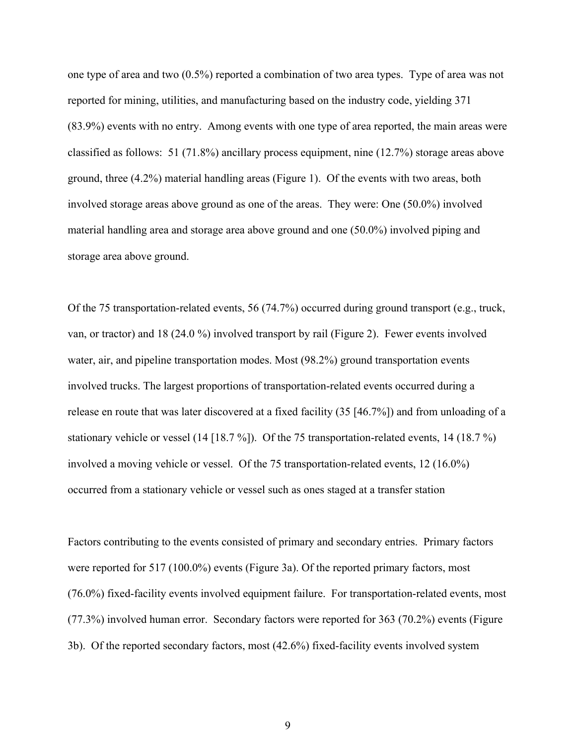one type of area and two (0.5%) reported a combination of two area types. Type of area was not reported for mining, utilities, and manufacturing based on the industry code, yielding 371 (83.9%) events with no entry. Among events with one type of area reported, the main areas were classified as follows: 51 (71.8%) ancillary process equipment, nine (12.7%) storage areas above ground, three (4.2%) material handling areas (Figure 1). Of the events with two areas, both involved storage areas above ground as one of the areas. They were: One (50.0%) involved material handling area and storage area above ground and one (50.0%) involved piping and storage area above ground.

Of the 75 transportation-related events, 56 (74.7%) occurred during ground transport (e.g., truck, van, or tractor) and 18 (24.0 %) involved transport by rail (Figure 2). Fewer events involved water, air, and pipeline transportation modes. Most (98.2%) ground transportation events involved trucks. The largest proportions of transportation-related events occurred during a release en route that was later discovered at a fixed facility (35 [46.7%]) and from unloading of a stationary vehicle or vessel (14 [18.7 %]). Of the 75 transportation-related events, 14 (18.7 %) involved a moving vehicle or vessel. Of the 75 transportation-related events, 12 (16.0%) occurred from a stationary vehicle or vessel such as ones staged at a transfer station

Factors contributing to the events consisted of primary and secondary entries. Primary factors were reported for 517 (100.0%) events (Figure 3a). Of the reported primary factors, most (76.0%) fixed-facility events involved equipment failure. For transportation-related events, most (77.3%) involved human error. Secondary factors were reported for 363 (70.2%) events (Figure 3b). Of the reported secondary factors, most (42.6%) fixed-facility events involved system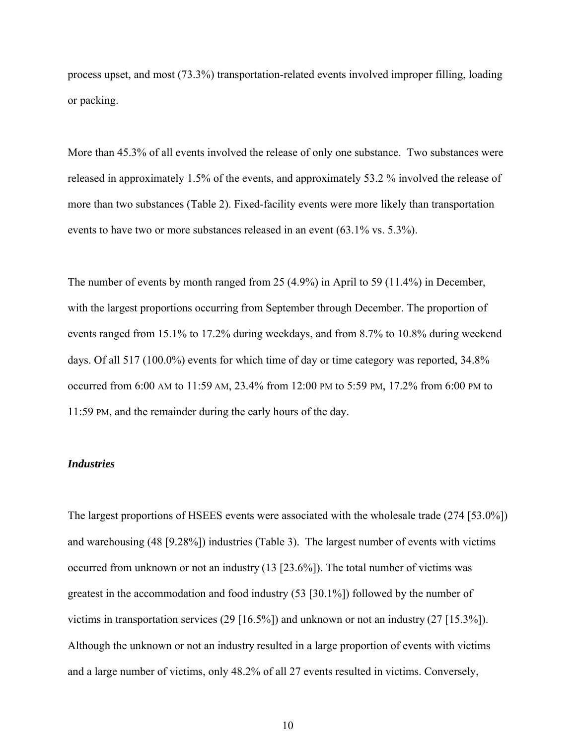process upset, and most (73.3%) transportation-related events involved improper filling, loading or packing.

More than 45.3% of all events involved the release of only one substance. Two substances were released in approximately 1.5% of the events, and approximately 53.2 % involved the release of more than two substances (Table 2). Fixed-facility events were more likely than transportation events to have two or more substances released in an event (63.1% vs. 5.3%).

The number of events by month ranged from 25 (4.9%) in April to 59 (11.4%) in December, with the largest proportions occurring from September through December. The proportion of events ranged from 15.1% to 17.2% during weekdays, and from 8.7% to 10.8% during weekend days. Of all 517 (100.0%) events for which time of day or time category was reported, 34.8% occurred from 6:00 AM to 11:59 AM, 23.4% from 12:00 PM to 5:59 PM, 17.2% from 6:00 PM to 11:59 PM, and the remainder during the early hours of the day.

#### *Industries*

The largest proportions of HSEES events were associated with the wholesale trade (274 [53.0%]) and warehousing (48 [9.28%]) industries (Table 3). The largest number of events with victims occurred from unknown or not an industry (13 [23.6%]). The total number of victims was greatest in the accommodation and food industry (53 [30.1%]) followed by the number of victims in transportation services  $(29 [16.5\%])$  and unknown or not an industry  $(27 [15.3\%])$ . Although the unknown or not an industry resulted in a large proportion of events with victims and a large number of victims, only 48.2% of all 27 events resulted in victims. Conversely,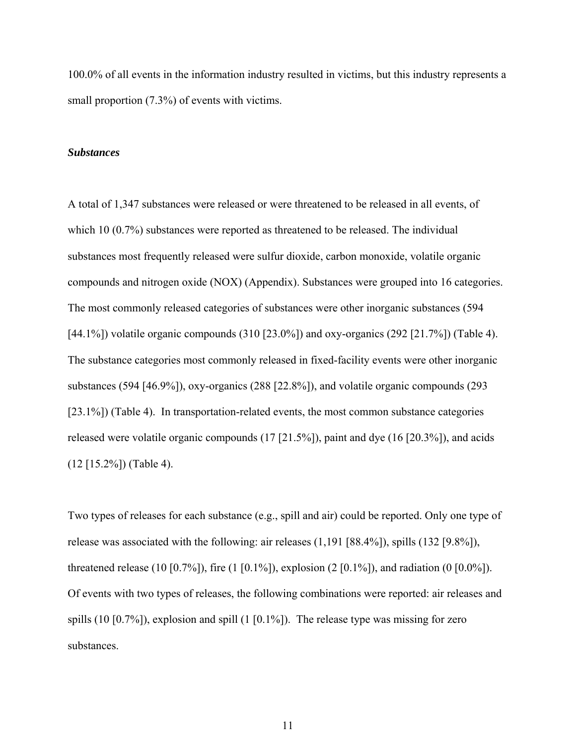100.0% of all events in the information industry resulted in victims, but this industry represents a small proportion  $(7.3\%)$  of events with victims.

#### *Substances*

A total of 1,347 substances were released or were threatened to be released in all events, of which 10 (0.7%) substances were reported as threatened to be released. The individual substances most frequently released were sulfur dioxide, carbon monoxide, volatile organic compounds and nitrogen oxide (NOX) (Appendix). Substances were grouped into 16 categories. The most commonly released categories of substances were other inorganic substances (594 [44.1%]) volatile organic compounds (310 [23.0%]) and oxy-organics (292 [21.7%]) (Table 4). The substance categories most commonly released in fixed-facility events were other inorganic substances (594 [46.9%]), oxy-organics (288 [22.8%]), and volatile organic compounds (293 [23.1%]) (Table 4). In transportation-related events, the most common substance categories released were volatile organic compounds (17 [21.5%]), paint and dye (16 [20.3%]), and acids (12 [15.2%]) (Table 4).

Two types of releases for each substance (e.g., spill and air) could be reported. Only one type of release was associated with the following: air releases (1,191 [88.4%]), spills (132 [9.8%]), threatened release (10 [0.7%]), fire (1 [0.1%]), explosion (2 [0.1%]), and radiation (0 [0.0%]). Of events with two types of releases, the following combinations were reported: air releases and spills (10 [0.7%]), explosion and spill (1 [0.1%]). The release type was missing for zero substances.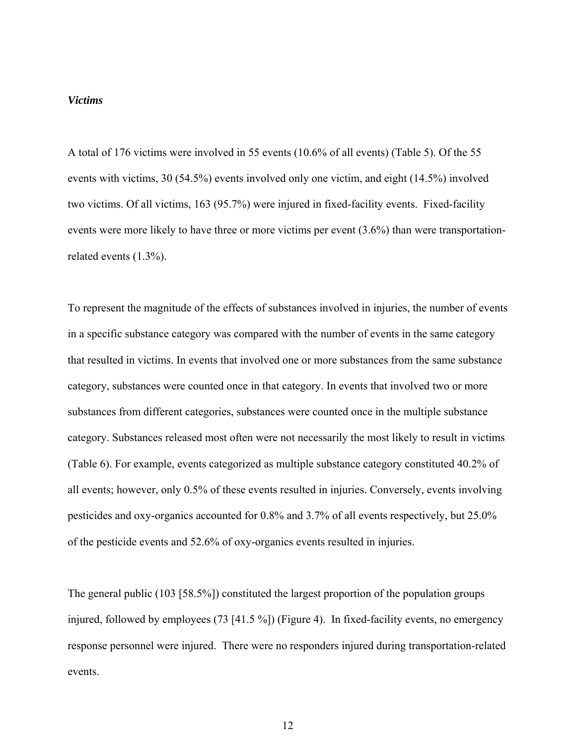#### *Victims*

A total of 176 victims were involved in 55 events (10.6% of all events) (Table 5). Of the 55 events with victims, 30 (54.5%) events involved only one victim, and eight (14.5%) involved two victims. Of all victims, 163 (95.7%) were injured in fixed-facility events. Fixed-facility events were more likely to have three or more victims per event (3.6%) than were transportationrelated events (1.3%).

To represent the magnitude of the effects of substances involved in injuries, the number of events in a specific substance category was compared with the number of events in the same category that resulted in victims. In events that involved one or more substances from the same substance category, substances were counted once in that category. In events that involved two or more substances from different categories, substances were counted once in the multiple substance category. Substances released most often were not necessarily the most likely to result in victims (Table 6). For example, events categorized as multiple substance category constituted 40.2% of all events; however, only 0.5% of these events resulted in injuries. Conversely, events involving pesticides and oxy-organics accounted for 0.8% and 3.7% of all events respectively, but 25.0% of the pesticide events and 52.6% of oxy-organics events resulted in injuries.

The general public (103 [58.5%]) constituted the largest proportion of the population groups injured, followed by employees (73 [41.5 %]) (Figure 4). In fixed-facility events, no emergency response personnel were injured. There were no responders injured during transportation-related events.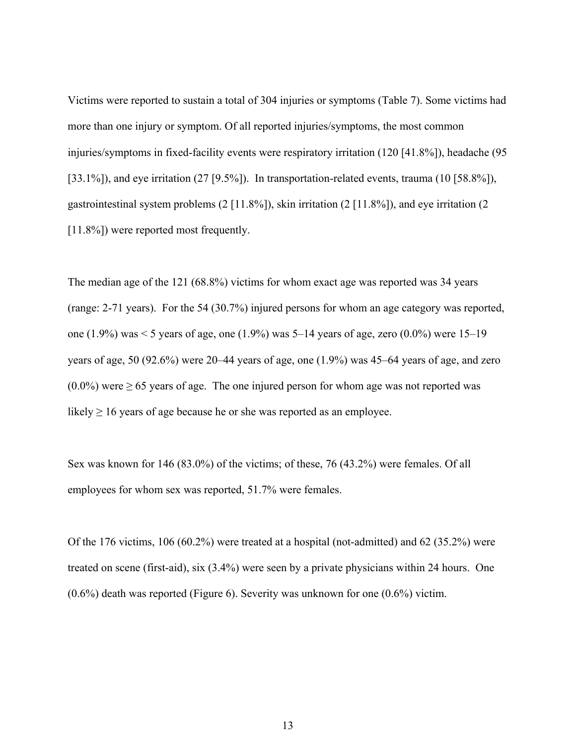Victims were reported to sustain a total of 304 injuries or symptoms (Table 7). Some victims had more than one injury or symptom. Of all reported injuries/symptoms, the most common injuries/symptoms in fixed-facility events were respiratory irritation (120 [41.8%]), headache (95 [33.1%]), and eye irritation (27 [9.5%]). In transportation-related events, trauma (10 [58.8%]), gastrointestinal system problems (2 [11.8%]), skin irritation (2 [11.8%]), and eye irritation (2 [11.8%]) were reported most frequently.

The median age of the 121 (68.8%) victims for whom exact age was reported was 34 years (range: 2-71 years). For the 54 (30.7%) injured persons for whom an age category was reported, one (1.9%) was < 5 years of age, one (1.9%) was 5–14 years of age, zero (0.0%) were 15–19 years of age, 50 (92.6%) were 20–44 years of age, one (1.9%) was 45–64 years of age, and zero  $(0.0\%)$  were  $\geq 65$  years of age. The one injured person for whom age was not reported was likely  $\geq 16$  years of age because he or she was reported as an employee.

Sex was known for 146 (83.0%) of the victims; of these, 76 (43.2%) were females. Of all employees for whom sex was reported, 51.7% were females.

Of the 176 victims, 106 (60.2%) were treated at a hospital (not-admitted) and 62 (35.2%) were treated on scene (first-aid), six (3.4%) were seen by a private physicians within 24 hours. One (0.6%) death was reported (Figure 6). Severity was unknown for one (0.6%) victim.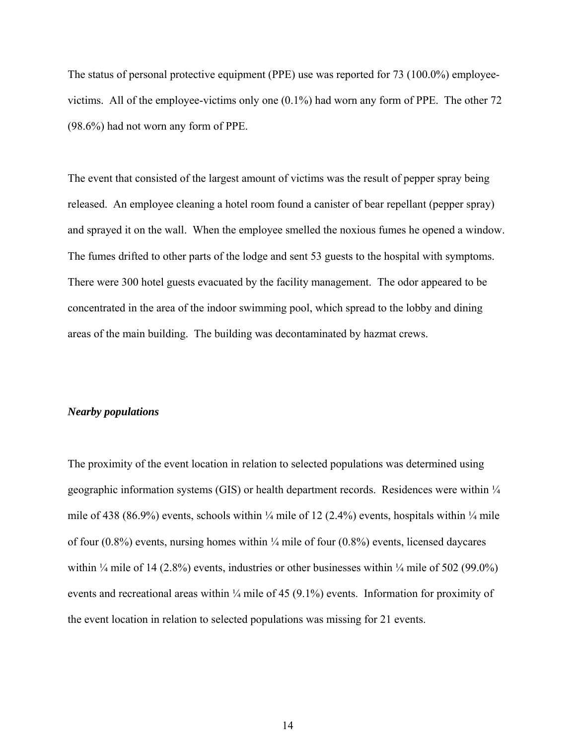The status of personal protective equipment (PPE) use was reported for 73 (100.0%) employeevictims. All of the employee-victims only one (0.1%) had worn any form of PPE. The other 72 (98.6%) had not worn any form of PPE.

The event that consisted of the largest amount of victims was the result of pepper spray being released. An employee cleaning a hotel room found a canister of bear repellant (pepper spray) and sprayed it on the wall. When the employee smelled the noxious fumes he opened a window. The fumes drifted to other parts of the lodge and sent 53 guests to the hospital with symptoms. There were 300 hotel guests evacuated by the facility management. The odor appeared to be concentrated in the area of the indoor swimming pool, which spread to the lobby and dining areas of the main building. The building was decontaminated by hazmat crews.

#### *Nearby populations*

The proximity of the event location in relation to selected populations was determined using geographic information systems (GIS) or health department records. Residences were within  $\frac{1}{4}$ mile of 438 (86.9%) events, schools within  $\frac{1}{4}$  mile of 12 (2.4%) events, hospitals within  $\frac{1}{4}$  mile of four  $(0.8\%)$  events, nursing homes within  $\frac{1}{4}$  mile of four  $(0.8\%)$  events, licensed daycares within  $\frac{1}{4}$  mile of 14 (2.8%) events, industries or other businesses within  $\frac{1}{4}$  mile of 502 (99.0%) events and recreational areas within  $\frac{1}{4}$  mile of 45 (9.1%) events. Information for proximity of the event location in relation to selected populations was missing for 21 events.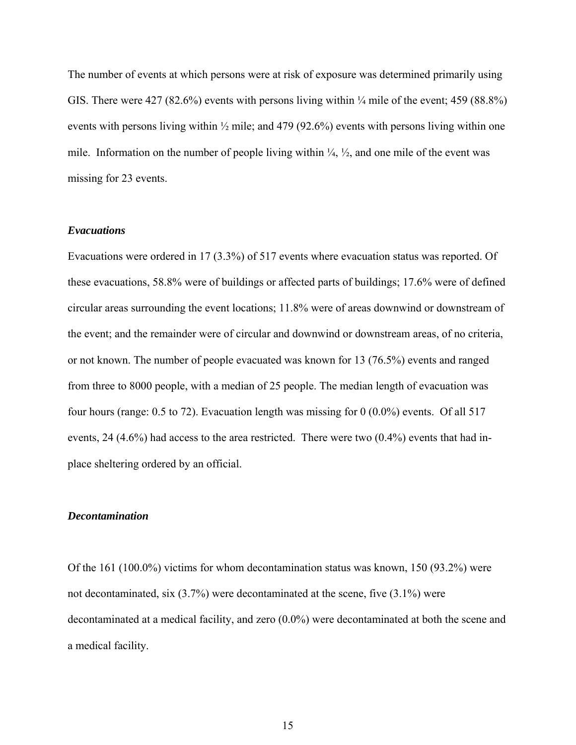The number of events at which persons were at risk of exposure was determined primarily using GIS. There were  $427 (82.6%)$  events with persons living within  $\frac{1}{4}$  mile of the event; 459 (88.8%) events with persons living within ½ mile; and 479 (92.6%) events with persons living within one mile. Information on the number of people living within  $\frac{1}{4}$ ,  $\frac{1}{2}$ , and one mile of the event was missing for 23 events.

### *Evacuations*

Evacuations were ordered in 17 (3.3%) of 517 events where evacuation status was reported. Of these evacuations, 58.8% were of buildings or affected parts of buildings; 17.6% were of defined circular areas surrounding the event locations; 11.8% were of areas downwind or downstream of the event; and the remainder were of circular and downwind or downstream areas, of no criteria, or not known. The number of people evacuated was known for 13 (76.5%) events and ranged from three to 8000 people, with a median of 25 people. The median length of evacuation was four hours (range: 0.5 to 72). Evacuation length was missing for 0 (0.0%) events. Of all 517 events, 24 (4.6%) had access to the area restricted. There were two (0.4%) events that had inplace sheltering ordered by an official.

#### *Decontamination*

Of the 161 (100.0%) victims for whom decontamination status was known, 150 (93.2%) were not decontaminated, six (3.7%) were decontaminated at the scene, five (3.1%) were decontaminated at a medical facility, and zero (0.0%) were decontaminated at both the scene and a medical facility.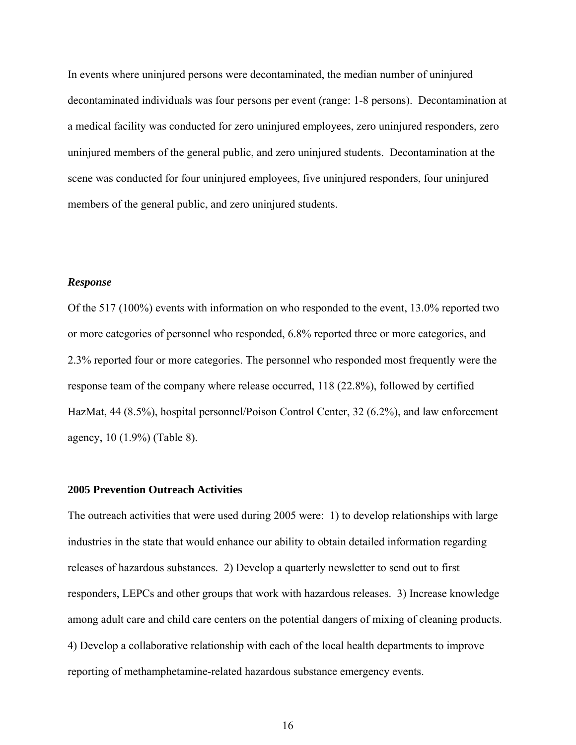In events where uninjured persons were decontaminated, the median number of uninjured decontaminated individuals was four persons per event (range: 1-8 persons). Decontamination at a medical facility was conducted for zero uninjured employees, zero uninjured responders, zero uninjured members of the general public, and zero uninjured students. Decontamination at the scene was conducted for four uninjured employees, five uninjured responders, four uninjured members of the general public, and zero uninjured students.

### *Response*

Of the 517 (100%) events with information on who responded to the event, 13.0% reported two or more categories of personnel who responded, 6.8% reported three or more categories, and 2.3% reported four or more categories. The personnel who responded most frequently were the response team of the company where release occurred, 118 (22.8%), followed by certified HazMat, 44 (8.5%), hospital personnel/Poison Control Center, 32 (6.2%), and law enforcement agency, 10 (1.9%) (Table 8).

### **2005 Prevention Outreach Activities**

The outreach activities that were used during 2005 were: 1) to develop relationships with large industries in the state that would enhance our ability to obtain detailed information regarding releases of hazardous substances. 2) Develop a quarterly newsletter to send out to first responders, LEPCs and other groups that work with hazardous releases. 3) Increase knowledge among adult care and child care centers on the potential dangers of mixing of cleaning products. 4) Develop a collaborative relationship with each of the local health departments to improve reporting of methamphetamine-related hazardous substance emergency events.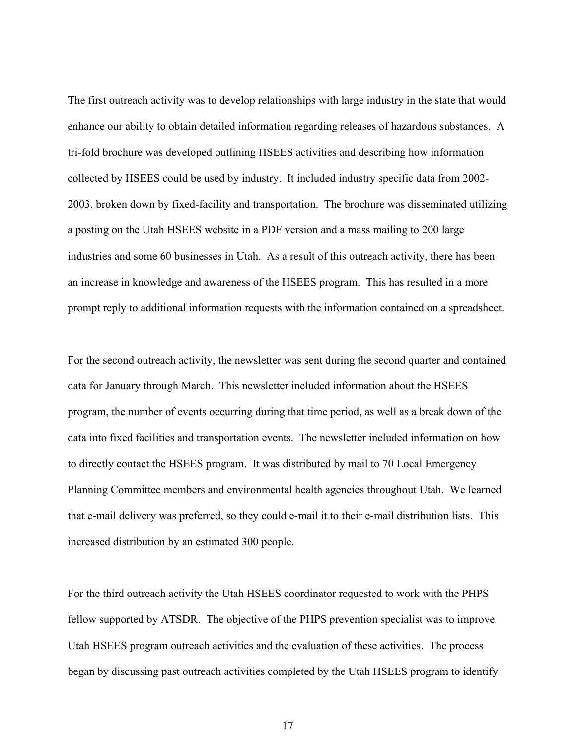The first outreach activity was to develop relationships with large industry in the state that would enhance our ability to obtain detailed information regarding releases of hazardous substances. A tri-fold brochure was developed outlining HSEES activities and describing how information collected by HSEES could be used by industry. It included industry specific data from 2002- 2003, broken down by fixed-facility and transportation. The brochure was disseminated utilizing a posting on the Utah HSEES website in a PDF version and a mass mailing to 200 large industries and some 60 businesses in Utah. As a result of this outreach activity, there has been an increase in knowledge and awareness of the HSEES program. This has resulted in a more prompt reply to additional information requests with the information contained on a spreadsheet.

For the second outreach activity, the newsletter was sent during the second quarter and contained data for January through March. This newsletter included information about the HSEES program, the number of events occurring during that time period, as well as a break down of the data into fixed facilities and transportation events. The newsletter included information on how to directly contact the HSEES program. It was distributed by mail to 70 Local Emergency Planning Committee members and environmental health agencies throughout Utah. We learned that e-mail delivery was preferred, so they could e-mail it to their e-mail distribution lists. This increased distribution by an estimated 300 people.

For the third outreach activity the Utah HSEES coordinator requested to work with the PHPS fellow supported by ATSDR. The objective of the PHPS prevention specialist was to improve Utah HSEES program outreach activities and the evaluation of these activities. The process began by discussing past outreach activities completed by the Utah HSEES program to identify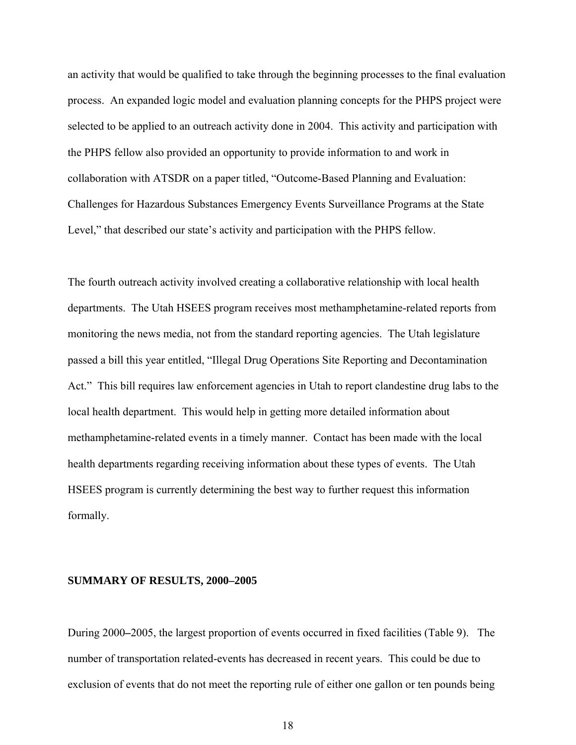an activity that would be qualified to take through the beginning processes to the final evaluation process. An expanded logic model and evaluation planning concepts for the PHPS project were selected to be applied to an outreach activity done in 2004. This activity and participation with the PHPS fellow also provided an opportunity to provide information to and work in collaboration with ATSDR on a paper titled, "Outcome-Based Planning and Evaluation: Challenges for Hazardous Substances Emergency Events Surveillance Programs at the State Level," that described our state's activity and participation with the PHPS fellow.

The fourth outreach activity involved creating a collaborative relationship with local health departments. The Utah HSEES program receives most methamphetamine-related reports from monitoring the news media, not from the standard reporting agencies. The Utah legislature passed a bill this year entitled, "Illegal Drug Operations Site Reporting and Decontamination Act." This bill requires law enforcement agencies in Utah to report clandestine drug labs to the local health department. This would help in getting more detailed information about methamphetamine-related events in a timely manner. Contact has been made with the local health departments regarding receiving information about these types of events. The Utah HSEES program is currently determining the best way to further request this information formally.

#### **SUMMARY OF RESULTS, 2000–2005**

During 2000**–**2005, the largest proportion of events occurred in fixed facilities (Table 9). The number of transportation related-events has decreased in recent years. This could be due to exclusion of events that do not meet the reporting rule of either one gallon or ten pounds being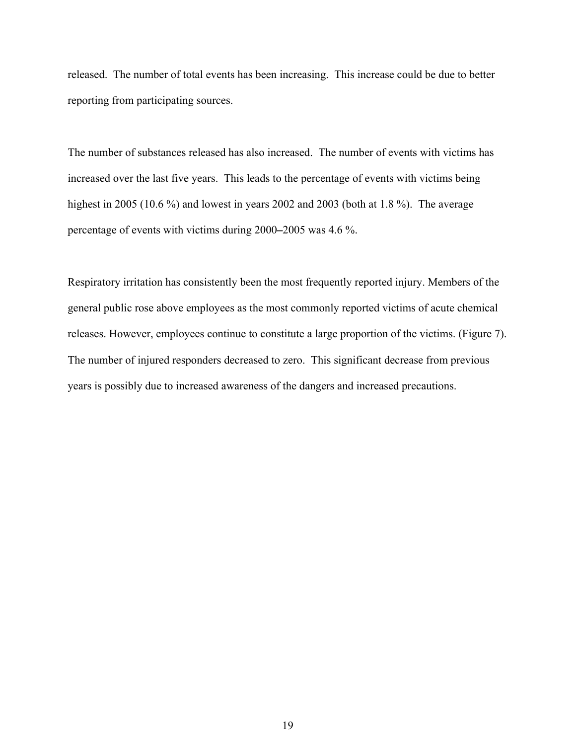released. The number of total events has been increasing. This increase could be due to better reporting from participating sources.

The number of substances released has also increased. The number of events with victims has increased over the last five years. This leads to the percentage of events with victims being highest in 2005 (10.6 %) and lowest in years 2002 and 2003 (both at 1.8 %). The average percentage of events with victims during 2000**–**2005 was 4.6 %.

Respiratory irritation has consistently been the most frequently reported injury. Members of the general public rose above employees as the most commonly reported victims of acute chemical releases. However, employees continue to constitute a large proportion of the victims. (Figure 7). The number of injured responders decreased to zero. This significant decrease from previous years is possibly due to increased awareness of the dangers and increased precautions.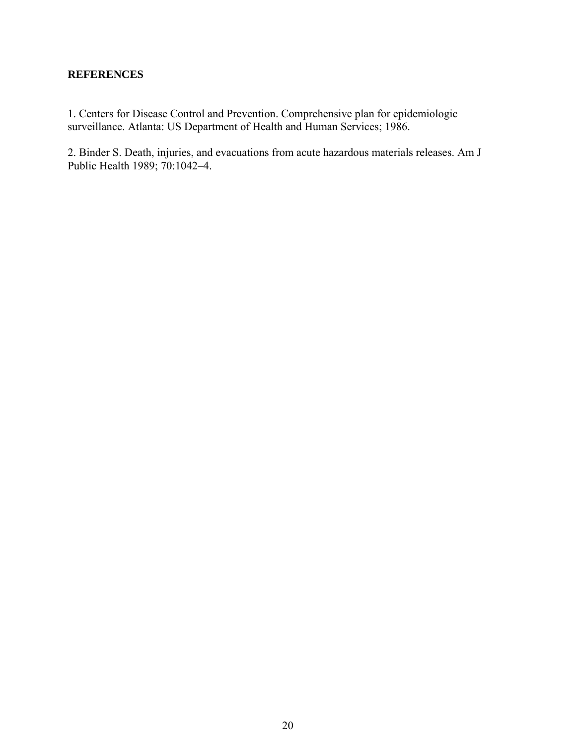### **REFERENCES**

1. Centers for Disease Control and Prevention. Comprehensive plan for epidemiologic surveillance. Atlanta: US Department of Health and Human Services; 1986.

2. Binder S. Death, injuries, and evacuations from acute hazardous materials releases. Am J Public Health 1989; 70:1042–4.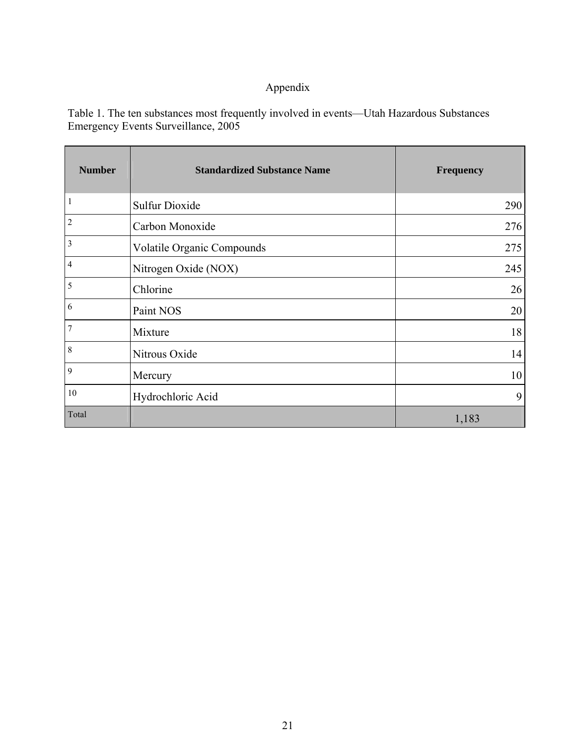# Appendix

Table 1. The ten substances most frequently involved in events—Utah Hazardous Substances Emergency Events Surveillance, 2005

| <b>Number</b>    | <b>Standardized Substance Name</b> | <b>Frequency</b> |
|------------------|------------------------------------|------------------|
| $\mathbf{1}$     | <b>Sulfur Dioxide</b>              | 290              |
| $\overline{2}$   | Carbon Monoxide                    | 276              |
| $\overline{3}$   | Volatile Organic Compounds         | 275              |
| $\overline{4}$   | Nitrogen Oxide (NOX)               | 245              |
| 5                | Chlorine                           | 26               |
| 6                | Paint NOS                          | 20               |
| $\overline{7}$   | Mixture                            | 18               |
| $\boldsymbol{8}$ | Nitrous Oxide                      | 14               |
| 9                | Mercury                            | 10               |
| $10\,$           | Hydrochloric Acid                  | 9                |
| Total            |                                    | 1,183            |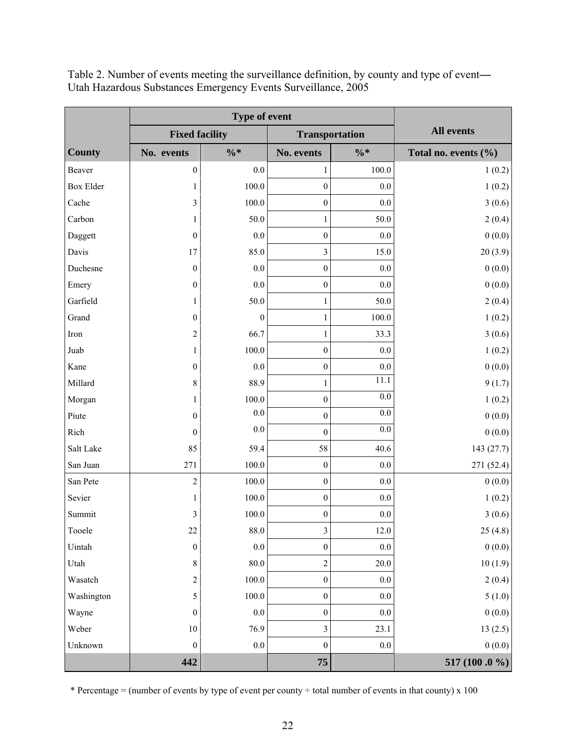|                  | <b>Fixed facility</b>   |                 |                         | <b>Transportation</b> | <b>All events</b>    |  |
|------------------|-------------------------|-----------------|-------------------------|-----------------------|----------------------|--|
| <b>County</b>    | No. events              | $\frac{0}{6}$ * | No. events              | $\frac{0}{6}$ *       | Total no. events (%) |  |
| Beaver           | $\boldsymbol{0}$        | 0.0             | 1                       | 100.0                 | 1(0.2)               |  |
| <b>Box Elder</b> | 1                       | 100.0           | $\boldsymbol{0}$        | 0.0                   | 1(0.2)               |  |
| Cache            | $\overline{\mathbf{3}}$ | 100.0           | $\boldsymbol{0}$        | 0.0                   | 3(0.6)               |  |
| Carbon           | 1                       | 50.0            | $\mathbf{1}$            | 50.0                  | 2(0.4)               |  |
| Daggett          | $\mathbf{0}$            | $0.0\,$         | $\boldsymbol{0}$        | 0.0                   | 0(0.0)               |  |
| Davis            | 17                      | 85.0            | 3                       | 15.0                  | 20(3.9)              |  |
| Duchesne         | $\theta$                | 0.0             | $\boldsymbol{0}$        | 0.0                   | 0(0.0)               |  |
| Emery            | $\boldsymbol{0}$        | $0.0\,$         | $\boldsymbol{0}$        | 0.0                   | 0(0.0)               |  |
| Garfield         | 1                       | 50.0            | $\mathbf{1}$            | 50.0                  | 2(0.4)               |  |
| Grand            | $\boldsymbol{0}$        | 0               | 1                       | 100.0                 | 1(0.2)               |  |
| Iron             | $\overline{c}$          | 66.7            | $\mathbf{1}$            | 33.3                  | 3(0.6)               |  |
| Juab             | $\mathbf{1}$            | 100.0           | $\boldsymbol{0}$        | 0.0                   | 1(0.2)               |  |
| Kane             | $\boldsymbol{0}$        | $0.0\,$         | $\boldsymbol{0}$        | $0.0\,$               | 0(0.0)               |  |
| Millard          | 8                       | 88.9            | $\mathbf{1}$            | 11.1                  | 9(1.7)               |  |
| Morgan           | $\mathbf{1}$            | 100.0           | $\boldsymbol{0}$        | 0.0                   | 1(0.2)               |  |
| Piute            | $\boldsymbol{0}$        | $0.0\,$         | $\boldsymbol{0}$        | $0.0\,$               | 0(0.0)               |  |
| Rich             | $\theta$                | $0.0\,$         | $\boldsymbol{0}$        | $0.0\,$               | 0(0.0)               |  |
| Salt Lake        | 85                      | 59.4            | 58                      | 40.6                  | 143(27.7)            |  |
| San Juan         | 271                     | 100.0           | $\boldsymbol{0}$        | 0.0                   | 271(52.4)            |  |
| San Pete         | $\overline{c}$          | 100.0           | $\boldsymbol{0}$        | $0.0\,$               | 0(0.0)               |  |
| Sevier           | 1                       | 100.0           | $\boldsymbol{0}$        | $0.0\,$               | 1(0.2)               |  |
| Summit           | 3                       | 100.0           | $\boldsymbol{0}$        | $0.0\,$               | 3(0.6)               |  |
| Tooele           | 22                      | 88.0            | $\overline{\mathbf{3}}$ | $12.0\,$              | 25(4.8)              |  |
| Uintah           | $\boldsymbol{0}$        | $0.0\,$         | $\boldsymbol{0}$        | $0.0\,$               | 0(0.0)               |  |
| Utah             | $\,8\,$                 | $80.0\,$        | $\overline{c}$          | 20.0                  | 10(1.9)              |  |
| Wasatch          | $\sqrt{2}$              | 100.0           | $\boldsymbol{0}$        | 0.0                   | 2(0.4)               |  |
| Washington       | 5                       | $100.0\,$       | $\boldsymbol{0}$        | $0.0\,$               | 5(1.0)               |  |
| Wayne            | $\boldsymbol{0}$        | $0.0\,$         | $\boldsymbol{0}$        | $0.0\,$               | 0(0.0)               |  |
| Weber            | $10\,$                  | 76.9            | 3                       | 23.1                  | 13(2.5)              |  |
| Unknown          | $\boldsymbol{0}$        | 0.0             | $\boldsymbol{0}$        | $0.0\,$               | 0(0.0)               |  |
|                  | 442                     |                 | 75                      |                       | 517 (100 .0 %)       |  |

Table 2. Number of events meeting the surveillance definition, by county and type of event**—** Utah Hazardous Substances Emergency Events Surveillance, 2005

\* Percentage = (number of events by type of event per county  $\div$  total number of events in that county) x 100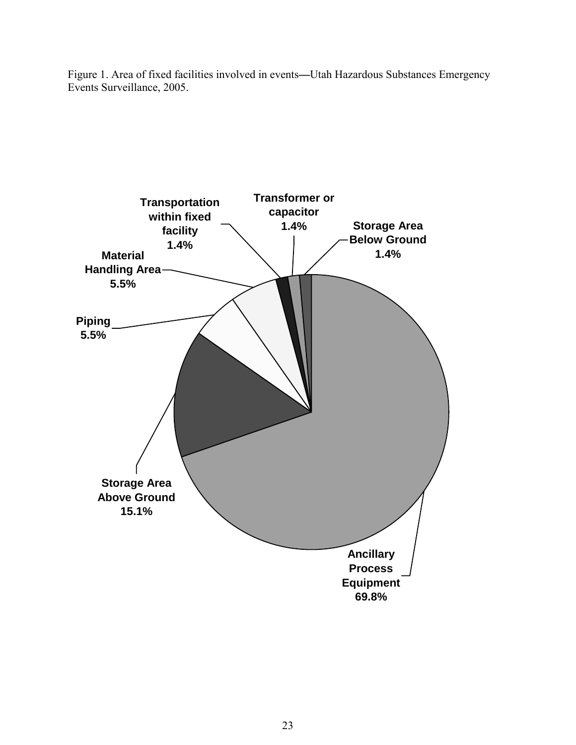Figure 1. Area of fixed facilities involved in events**—**Utah Hazardous Substances Emergency Events Surveillance, 2005.

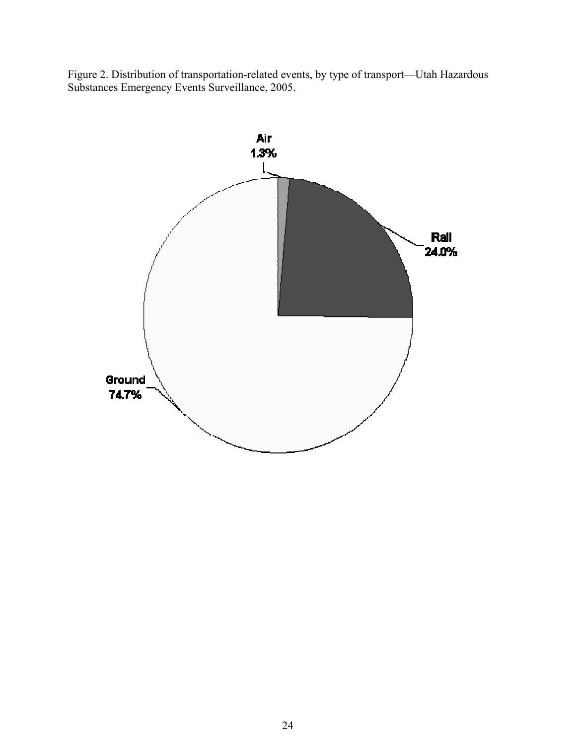Figure 2. Distribution of transportation-related events, by type of transport—Utah Hazardous Substances Emergency Events Surveillance, 2005.

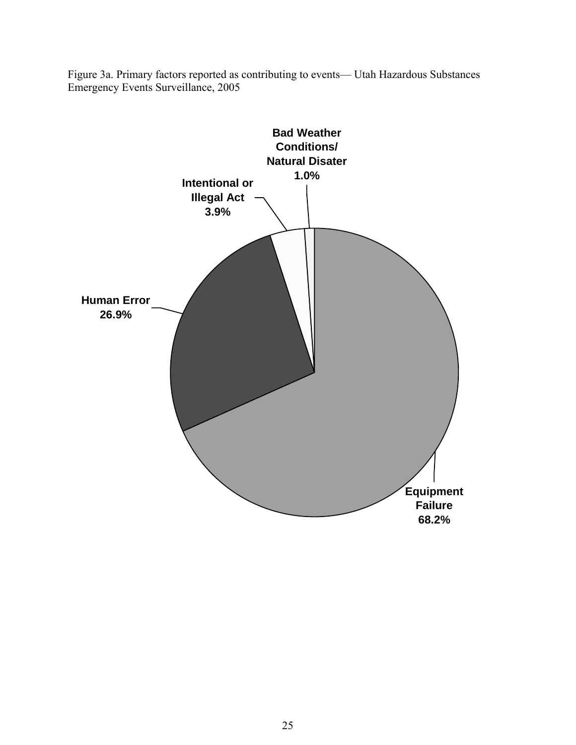

Figure 3a. Primary factors reported as contributing to events— Utah Hazardous Substances Emergency Events Surveillance, 2005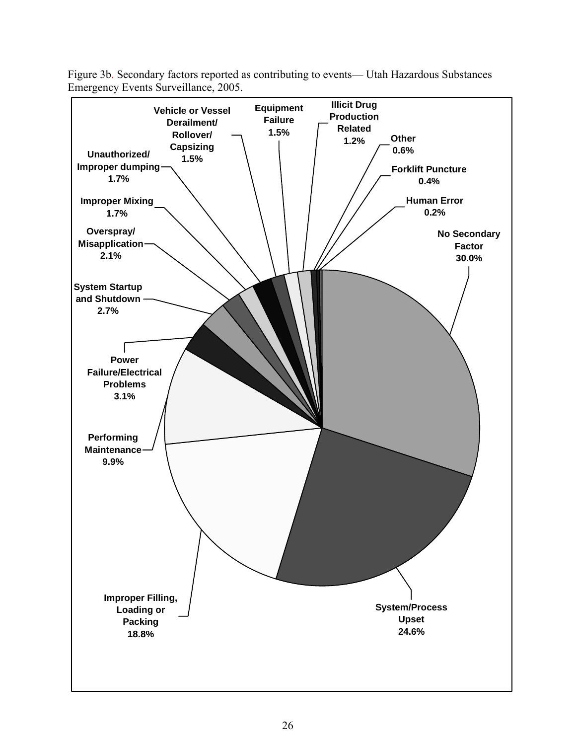

Figure 3b. Secondary factors reported as contributing to events— Utah Hazardous Substances Emergency Events Surveillance, 2005.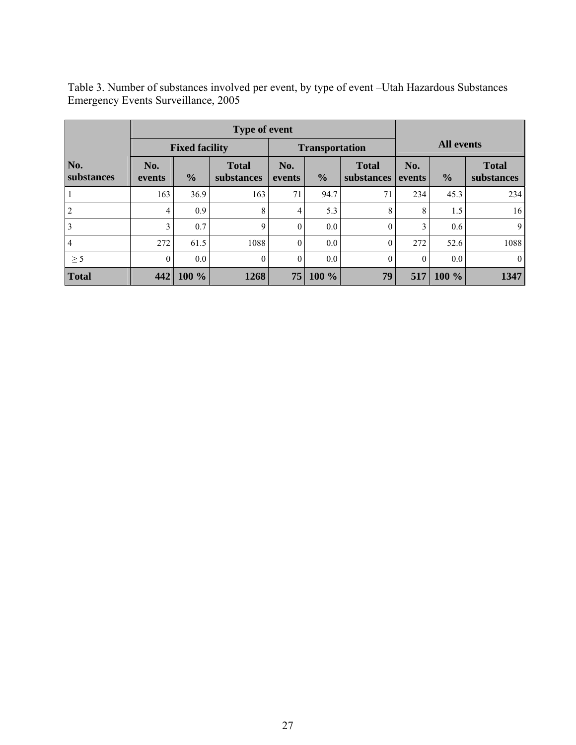| Table 3. Number of substances involved per event, by type of event – Utah Hazardous Substances |  |
|------------------------------------------------------------------------------------------------|--|
| Emergency Events Surveillance, 2005                                                            |  |

| <b>Type of event</b> |               |                       |                            |                |                       |                            |               |                   |                            |  |
|----------------------|---------------|-----------------------|----------------------------|----------------|-----------------------|----------------------------|---------------|-------------------|----------------------------|--|
|                      |               | <b>Fixed facility</b> |                            |                | <b>Transportation</b> |                            |               | <b>All events</b> |                            |  |
| No.<br>substances    | No.<br>events | $\frac{0}{0}$         | <b>Total</b><br>substances | No.<br>events  | $\frac{0}{0}$         | <b>Total</b><br>substances | No.<br>events | $\frac{0}{0}$     | <b>Total</b><br>substances |  |
|                      | 163           | 36.9                  | 163                        | 71             | 94.7                  | 71                         | 234           | 45.3              | 234                        |  |
| $\overline{2}$       | 4             | 0.9                   | 8                          | 4              | 5.3                   | 8                          | 8             | 1.5               | 16                         |  |
| 3                    | 3             | 0.7                   | 9                          | $\overline{0}$ | 0.0                   | $\Omega$                   | 3             | 0.6               | 9                          |  |
| $\overline{4}$       | 272           | 61.5                  | 1088                       | $\overline{0}$ | 0.0                   | $\theta$                   | 272           | 52.6              | 1088                       |  |
| $\geq$ 5             | $\theta$      | $0.0\,$               | $\overline{0}$             | $\overline{0}$ | 0.0                   | $\theta$                   | $\theta$      | 0.0               | $\overline{0}$             |  |
| <b>Total</b>         | 442           | 100 %                 | 1268                       | 75             | 100 %                 | 79                         | 517           | 100 %             | 1347                       |  |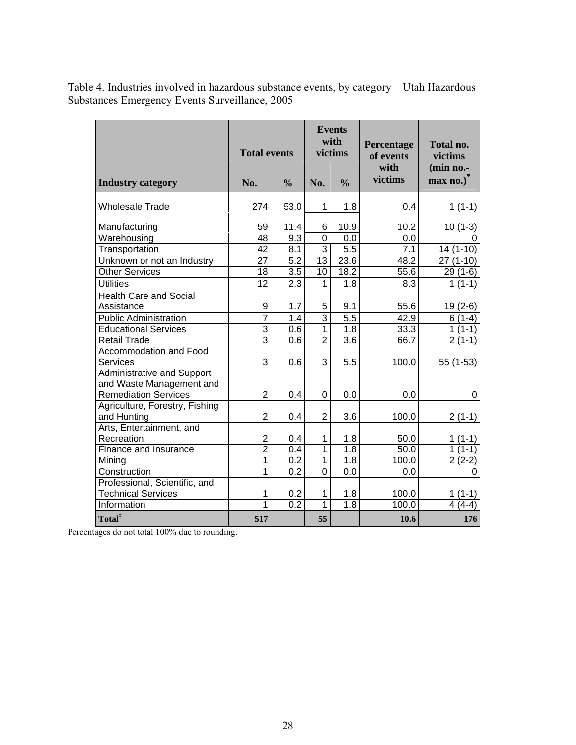| Table 4. Industries involved in hazardous substance events, by category—Utah Hazardous |  |
|----------------------------------------------------------------------------------------|--|
| <b>Substances Emergency Events Surveillance, 2005</b>                                  |  |

|                                                                                              | <b>Total events</b> |                  |                | <b>Events</b><br>with<br>victims | Percentage<br>of events | Total no.<br>victims<br>(min no.-<br>max no.) |  |
|----------------------------------------------------------------------------------------------|---------------------|------------------|----------------|----------------------------------|-------------------------|-----------------------------------------------|--|
| <b>Industry category</b>                                                                     | No.                 | $\frac{0}{0}$    |                | $\frac{0}{0}$                    | with<br>victims         |                                               |  |
| <b>Wholesale Trade</b>                                                                       | 274                 | 53.0             | 1              | 1.8                              | 0.4                     | $1(1-1)$                                      |  |
| Manufacturing                                                                                | 59                  | 11.4             | 6              | 10.9                             | 10.2                    | $10(1-3)$                                     |  |
| Warehousing                                                                                  | 48                  | 9.3              | $\mathbf 0$    | 0.0                              | 0.0                     |                                               |  |
| Transportation                                                                               | 42                  | 8.1              | $\overline{3}$ | 5.5                              | 7.1                     | $14(1-10)$                                    |  |
| Unknown or not an Industry                                                                   | 27                  | 5.2              | 13             | 23.6                             | 48.2                    | $27(1-10)$                                    |  |
| <b>Other Services</b>                                                                        | 18                  | 3.5              | 10             | 18.2                             | 55.6                    | $29(1-6)$                                     |  |
| <b>Utilities</b>                                                                             | 12                  | 2.3              | $\mathbf{1}$   | 1.8                              | 8.3                     | $1(1-1)$                                      |  |
| <b>Health Care and Social</b><br>Assistance                                                  | 9                   | 1.7              | 5              | 9.1                              | 55.6                    | $19(2-6)$                                     |  |
| <b>Public Administration</b>                                                                 | $\overline{7}$      | 1.4              | $\overline{3}$ | $\overline{5.5}$                 | 42.9                    | $6(1-4)$                                      |  |
| <b>Educational Services</b>                                                                  | $\overline{3}$      | 0.6              | $\mathbf{1}$   | 1.8                              | 33.3                    | $1(1-1)$                                      |  |
| Retail Trade                                                                                 | 3                   | 0.6              | $\overline{2}$ | 3.6                              | 66.7                    | $2(1-1)$                                      |  |
| Accommodation and Food                                                                       |                     |                  |                |                                  |                         |                                               |  |
| <b>Services</b>                                                                              | 3                   | 0.6              | 3              | 5.5                              | 100.0                   | 55 (1-53)                                     |  |
| <b>Administrative and Support</b><br>and Waste Management and<br><b>Remediation Services</b> | $\overline{2}$      | 0.4              | 0              | 0.0                              | 0.0                     | 0                                             |  |
| Agriculture, Forestry, Fishing<br>and Hunting                                                | $\overline{2}$      | 0.4              | $\overline{2}$ | 3.6                              | 100.0                   | $2(1-1)$                                      |  |
| Arts, Entertainment, and<br>Recreation                                                       | $\overline{2}$      | 0.4              | 1              | 1.8                              | 50.0                    | $1(1-1)$                                      |  |
| Finance and Insurance                                                                        | $\overline{2}$      | 0.4              | $\mathbf{1}$   | 1.8                              | 50.0                    | $1(1-1)$                                      |  |
| Mining                                                                                       | 1                   | $\overline{0.2}$ | $\mathbf{1}$   | 1.8                              | 100.0                   | $2(2-2)$                                      |  |
| Construction                                                                                 | 1                   | $\overline{0.2}$ | $\overline{0}$ | 0.0                              | 0.0                     | 0                                             |  |
| Professional, Scientific, and                                                                |                     |                  |                |                                  |                         |                                               |  |
| <b>Technical Services</b>                                                                    | 1                   | 0.2              | 1              | 1.8                              | 100.0                   | $1(1-1)$                                      |  |
| Information                                                                                  | 1                   | 0.2              | $\mathbf{1}$   | 1.8                              | 100.0                   | $4(4-4)$                                      |  |
| Total <sup>‡</sup>                                                                           | 517                 |                  | 55             |                                  | 10.6                    | 176                                           |  |

Percentages do not total 100% due to rounding.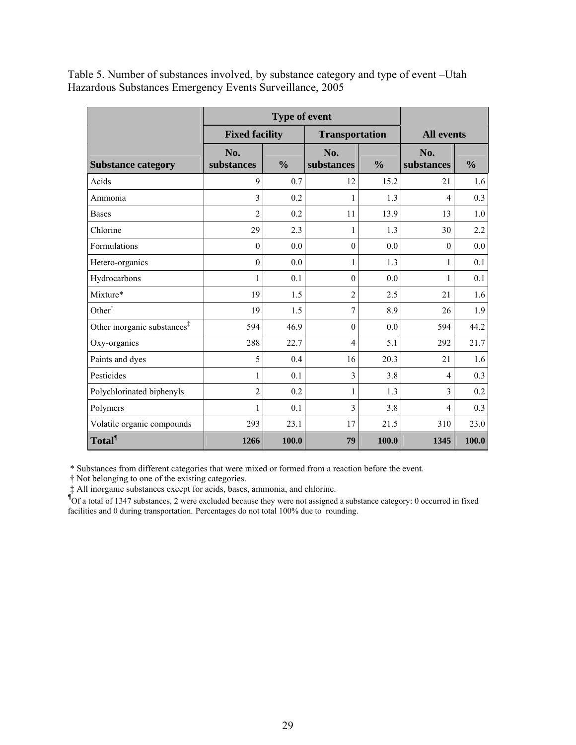Table 5. Number of substances involved, by substance category and type of event –Utah Hazardous Substances Emergency Events Surveillance, 2005

|                                         | <b>Fixed facility</b> | <b>Transportation</b> | <b>All events</b> |               |                   |               |
|-----------------------------------------|-----------------------|-----------------------|-------------------|---------------|-------------------|---------------|
| <b>Substance category</b>               | No.<br>substances     | $\frac{0}{0}$         | No.<br>substances | $\frac{0}{0}$ | No.<br>substances | $\frac{0}{0}$ |
| Acids                                   | 9                     | 0.7                   | 12                | 15.2          | 21                | 1.6           |
| Ammonia                                 | $\overline{3}$        | 0.2                   | $\mathbf{1}$      | 1.3           | $\overline{4}$    | 0.3           |
| <b>Bases</b>                            | $\overline{c}$        | 0.2                   | 11                | 13.9          | 13                | 1.0           |
| Chlorine                                | 29                    | 2.3                   | 1                 | 1.3           | 30                | 2.2           |
| <b>Formulations</b>                     | $\theta$              | 0.0                   | $\theta$          | 0.0           | $\theta$          | 0.0           |
| Hetero-organics                         | $\boldsymbol{0}$      | 0.0                   | 1                 | 1.3           | $\mathbf{1}$      | 0.1           |
| Hydrocarbons                            | 1                     | 0.1                   | $\theta$          | 0.0           | 1                 | 0.1           |
| Mixture*                                | 19                    | 1.5                   | $\overline{2}$    | 2.5           | 21                | 1.6           |
| Other <sup>†</sup>                      | 19                    | 1.5                   | 7                 | 8.9           | 26                | 1.9           |
| Other inorganic substances <sup>‡</sup> | 594                   | 46.9                  | $\theta$          | 0.0           | 594               | 44.2          |
| Oxy-organics                            | 288                   | 22.7                  | $\overline{4}$    | 5.1           | 292               | 21.7          |
| Paints and dyes                         | 5                     | 0.4                   | 16                | 20.3          | 21                | 1.6           |
| Pesticides                              | 1                     | 0.1                   | 3                 | 3.8           | $\overline{4}$    | 0.3           |
| Polychlorinated biphenyls               | $\overline{2}$        | 0.2                   | 1                 | 1.3           | 3                 | 0.2           |
| Polymers                                | 1                     | 0.1                   | 3                 | 3.8           | $\overline{4}$    | 0.3           |
| Volatile organic compounds              | 293                   | 23.1                  | 17                | 21.5          | 310               | 23.0          |
| <b>Total</b> <sup>¶</sup>               | 1266                  | 100.0                 | 79                | 100.0         | 1345              | 100.0         |

\* Substances from different categories that were mixed or formed from a reaction before the event.

† Not belonging to one of the existing categories.

 ‡ All inorganic substances except for acids, bases, ammonia, and chlorine. **¶** Of a total of 1347 substances, 2 were excluded because they were not assigned a substance category: 0 occurred in fixed facilities and 0 during transportation. Percentages do not total 100% due to rounding.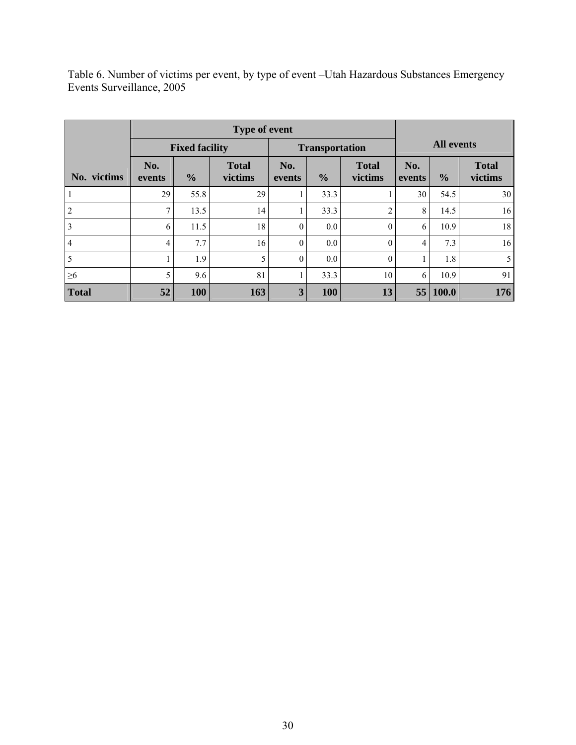Table 6. Number of victims per event, by type of event –Utah Hazardous Substances Emergency Events Surveillance, 2005

|                | <b>Type of event</b> |                       |                         |               |                       |                         |               |                   |                         |
|----------------|----------------------|-----------------------|-------------------------|---------------|-----------------------|-------------------------|---------------|-------------------|-------------------------|
|                |                      | <b>Fixed facility</b> |                         |               | <b>Transportation</b> |                         |               | <b>All events</b> |                         |
| No. victims    | No.<br>events        | $\frac{0}{0}$         | <b>Total</b><br>victims | No.<br>events | $\frac{0}{0}$         | <b>Total</b><br>victims | No.<br>events | $\frac{0}{0}$     | <b>Total</b><br>victims |
|                | 29                   | 55.8                  | 29                      |               | 33.3                  |                         | 30            | 54.5              | 30                      |
| 2              | 7                    | 13.5                  | 14                      |               | 33.3                  | $\overline{c}$          | 8             | 14.5              | 16                      |
| 3              | 6                    | 11.5                  | 18                      | $\theta$      | $0.0\,$               | $\theta$                | 6             | 10.9              | 18                      |
| $\overline{4}$ | $\overline{4}$       | 7.7                   | 16                      | $\theta$      | $0.0\,$               | $\theta$                | 4             | 7.3               | 16                      |
| 5              |                      | 1.9                   | 5                       | $\theta$      | 0.0 <sub>1</sub>      | $\mathbf{0}$            |               | 1.8               | 5                       |
| $\geq 6$       | 5                    | 9.6                   | 81                      |               | 33.3                  | 10                      | 6             | 10.9              | 91                      |
| <b>Total</b>   | 52                   | 100                   | 163                     | $\mathbf{3}$  | <b>100</b>            | 13                      | 55            | $\vert$ 100.0     | 176                     |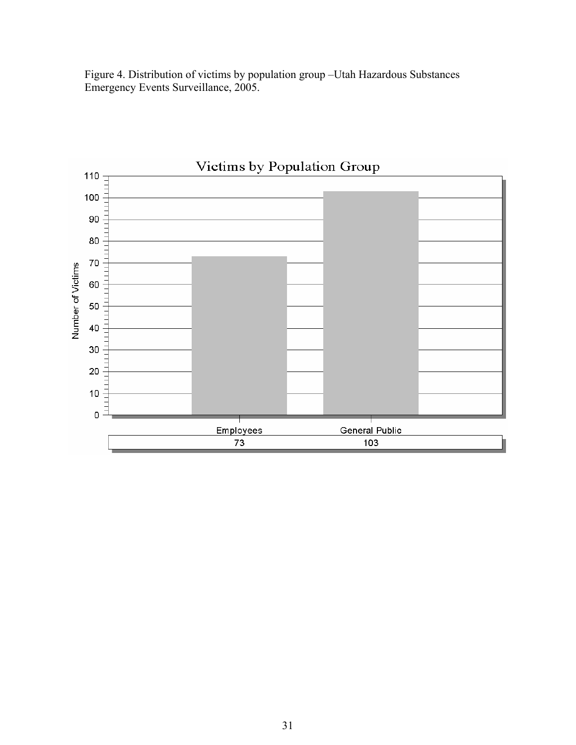Figure 4. Distribution of victims by population group –Utah Hazardous Substances Emergency Events Surveillance, 2005.

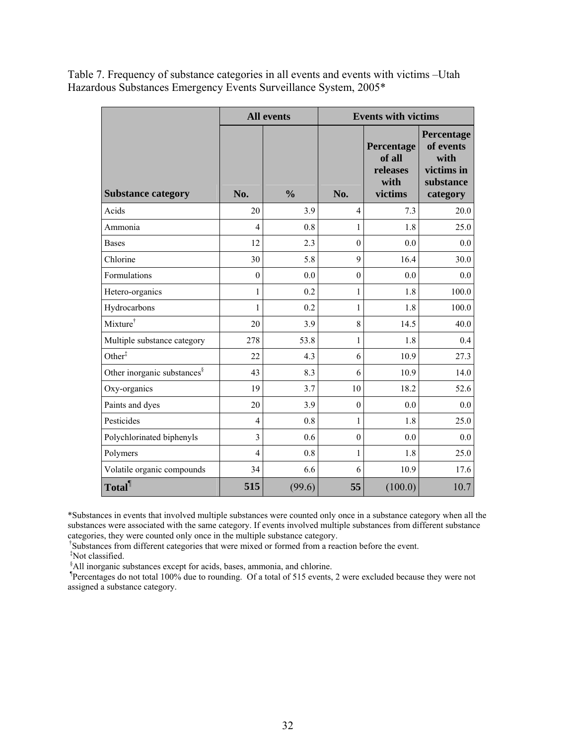Table 7. Frequency of substance categories in all events and events with victims –Utah Hazardous Substances Emergency Events Surveillance System, 2005\*

|                                         |                  | <b>All events</b> | <b>Events with victims</b> |                                                     |                                                                        |  |  |
|-----------------------------------------|------------------|-------------------|----------------------------|-----------------------------------------------------|------------------------------------------------------------------------|--|--|
| <b>Substance category</b>               | No.              | $\frac{0}{0}$     | No.                        | Percentage<br>of all<br>releases<br>with<br>victims | Percentage<br>of events<br>with<br>victims in<br>substance<br>category |  |  |
| Acids                                   | 20               | 3.9               | 4                          | 7.3                                                 | 20.0                                                                   |  |  |
| Ammonia                                 | $\overline{4}$   | 0.8               | 1                          | 1.8                                                 | 25.0                                                                   |  |  |
| <b>Bases</b>                            | 12               | 2.3               | $\mathbf{0}$               | 0.0                                                 | 0.0                                                                    |  |  |
| Chlorine                                | 30               | 5.8               | 9                          | 16.4                                                | 30.0                                                                   |  |  |
| Formulations                            | $\boldsymbol{0}$ | 0.0               | $\boldsymbol{0}$           | 0.0                                                 | 0.0                                                                    |  |  |
| Hetero-organics                         | 1                | 0.2               | 1                          | 1.8                                                 | 100.0                                                                  |  |  |
| Hydrocarbons                            | 1                | 0.2               | 1                          | 1.8                                                 | 100.0                                                                  |  |  |
| Mixture <sup>†</sup>                    | 20               | 3.9               | 8                          | 14.5                                                | 40.0                                                                   |  |  |
| Multiple substance category             | 278              | 53.8              | $\mathbf{1}$               | 1.8                                                 | 0.4                                                                    |  |  |
| Other <sup>‡</sup>                      | 22               | 4.3               | 6                          | 10.9                                                | 27.3                                                                   |  |  |
| Other inorganic substances <sup>§</sup> | 43               | 8.3               | 6                          | 10.9                                                | 14.0                                                                   |  |  |
| Oxy-organics                            | 19               | 3.7               | 10                         | 18.2                                                | 52.6                                                                   |  |  |
| Paints and dyes                         | 20               | 3.9               | $\mathbf{0}$               | 0.0                                                 | 0.0                                                                    |  |  |
| Pesticides                              | $\overline{4}$   | 0.8               | 1                          | 1.8                                                 | 25.0                                                                   |  |  |
| Polychlorinated biphenyls               | $\overline{3}$   | 0.6               | $\boldsymbol{0}$           | 0.0                                                 | 0.0                                                                    |  |  |
| Polymers                                | $\overline{4}$   | 0.8               | 1                          | 1.8                                                 | 25.0                                                                   |  |  |
| Volatile organic compounds              | 34               | 6.6               | 6                          | 10.9                                                | 17.6                                                                   |  |  |
| Total <sup>1</sup>                      | 515              | (99.6)            | 55                         | (100.0)                                             | 10.7                                                                   |  |  |

\*Substances in events that involved multiple substances were counted only once in a substance category when all the substances were associated with the same category. If events involved multiple substances from different substance categories, they were counted only once in the multiple substance category.

†Substances from different categories that were mixed or formed from a reaction before the event.

‡ Not classified. § All inorganic substances except for acids, bases, ammonia, and chlorine.

¶ Percentages do not total 100% due to rounding. Of a total of 515 events, 2 were excluded because they were not assigned a substance category.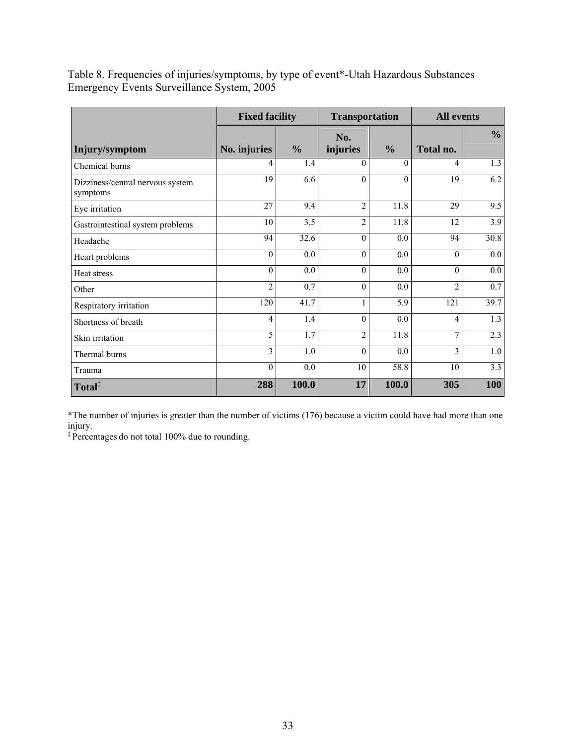Table 8. Frequencies of injuries/symptoms, by type of event\*-Utah Hazardous Substances Emergency Events Surveillance System, 2005

|                                              | <b>Fixed facility</b> |               | <b>Transportation</b> |               | <b>All events</b> |               |
|----------------------------------------------|-----------------------|---------------|-----------------------|---------------|-------------------|---------------|
| Injury/symptom                               | No. injuries          | $\frac{6}{6}$ | No.<br>injuries       | $\frac{0}{0}$ | Total no.         | $\frac{0}{0}$ |
| Chemical burns                               | 4                     | 1.4           | $\theta$              | $\Omega$      | 4                 | 1.3           |
| Dizziness/central nervous system<br>symptoms | 19                    | 6.6           | $\theta$              | $\theta$      | 19                | 6.2           |
| Eye irritation                               | 27                    | 9.4           | $\overline{2}$        | 11.8          | 29                | 9.5           |
| Gastrointestinal system problems             | 10                    | 3.5           | $\overline{2}$        | 11.8          | 12                | 3.9           |
| Headache                                     | 94                    | 32.6          | $\theta$              | 0.0           | 94                | 30.8          |
| Heart problems                               | $\theta$              | 0.0           | $\theta$              | 0.0           | $\theta$          | 0.0           |
| Heat stress                                  | $\theta$              | 0.0           | $\theta$              | 0.0           | $\theta$          | 0.0           |
| Other                                        | $\overline{2}$        | 0.7           | $\theta$              | 0.0           | $\overline{2}$    | 0.7           |
| Respiratory irritation                       | 120                   | 41.7          | 1                     | 5.9           | 121               | 39.7          |
| Shortness of breath                          | 4                     | 1.4           | $\theta$              | 0.0           | 4                 | 1.3           |
| Skin irritation                              | 5                     | 1.7           | $\overline{2}$        | 11.8          | 7                 | 2.3           |
| Thermal burns                                | 3                     | 1.0           | $\Omega$              | 0.0           | 3                 | 1.0           |
| Trauma                                       | $\theta$              | 0.0           | 10                    | 58.8          | 10                | 3.3           |
| Total <sup>‡</sup>                           | 288                   | 100.0         | 17                    | 100.0         | 305               | <b>100</b>    |

\*The number of injuries is greater than the number of victims (176) because a victim could have had more than one injury.

‡ Percentages do not total 100% due to rounding.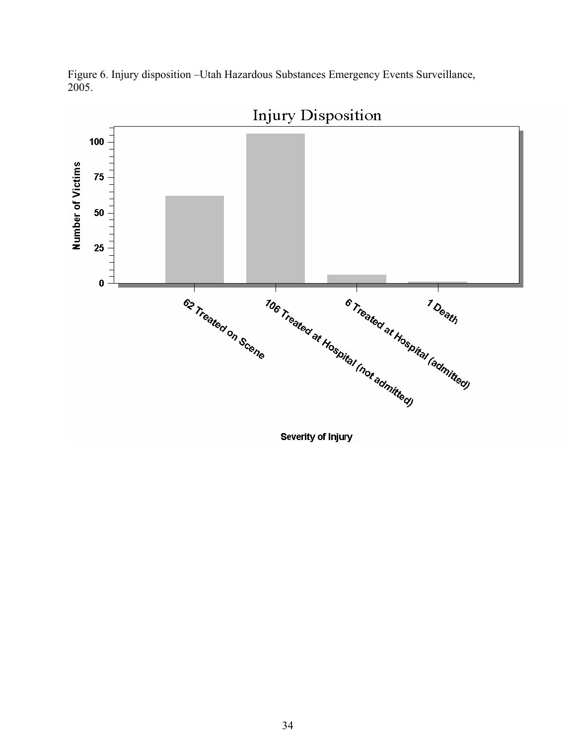

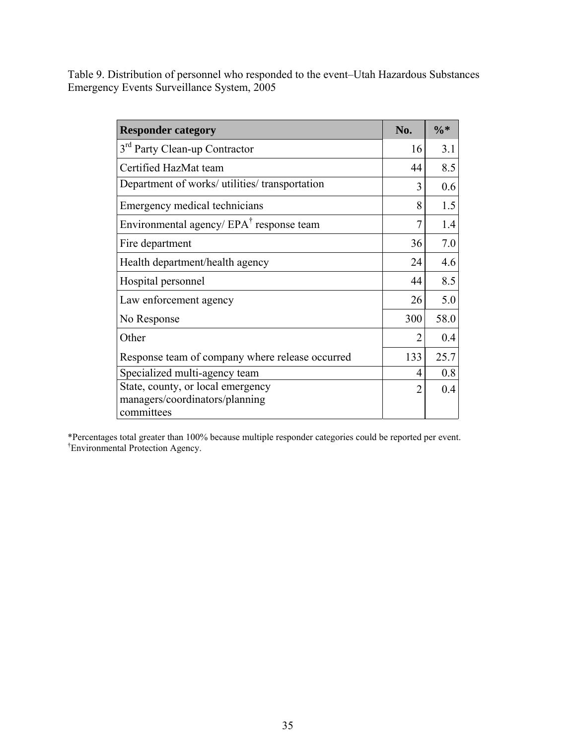Table 9. Distribution of personnel who responded to the event–Utah Hazardous Substances Emergency Events Surveillance System, 2005

| <b>Responder category</b>                                                         | No.            | $\frac{0}{6}$ * |
|-----------------------------------------------------------------------------------|----------------|-----------------|
| 3 <sup>rd</sup> Party Clean-up Contractor                                         | 16             | 3.1             |
| Certified HazMat team                                                             | 44             | 8.5             |
| Department of works/ utilities/ transportation                                    | 3              | 0.6             |
| Emergency medical technicians                                                     | 8              | 1.5             |
| Environmental agency/ $EPA^{\dagger}$ response team                               | 7              | 1.4             |
| Fire department                                                                   | 36             | 7.0             |
| Health department/health agency                                                   | 24             | 4.6             |
| Hospital personnel                                                                | 44             | 8.5             |
| Law enforcement agency                                                            | 26             | 5.0             |
| No Response                                                                       |                | 58.0            |
| Other                                                                             | 2              | 0.4             |
| Response team of company where release occurred                                   | 133            | 25.7            |
| Specialized multi-agency team                                                     | 4              | 0.8             |
| State, county, or local emergency<br>managers/coordinators/planning<br>committees | $\overline{2}$ | 0.4             |

\*Percentages total greater than 100% because multiple responder categories could be reported per event. † Environmental Protection Agency.